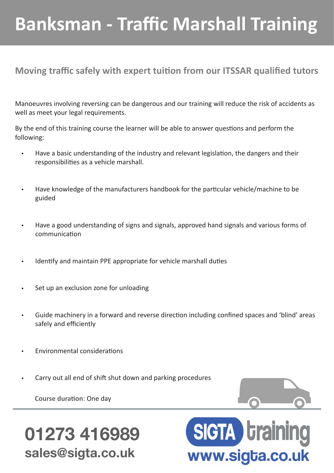# **Banksman - Traffic Marshall Training**

#### **Moving traffic safely with expert tuition from our ITSSAR qualified tutors**

Manoeuvres involving reversing can be dangerous and our training will reduce the risk of accidents as well as meet your legal requirements.

By the end of this training course the learner will be able to answer questions and perform the following:

- Have a basic understanding of the industry and relevant legislation, the dangers and their responsibilities as a vehicle marshall.
- Have knowledge of the manufacturers handbook for the particular vehicle/machine to be guided
- Have a good understanding of signs and signals, approved hand signals and various forms of communication
- Identify and maintain PPE appropriate for vehicle marshall duties
- Set up an exclusion zone for unloading
- Guide machinery in a forward and reverse direction including confined spaces and 'blind' areas safely and efficiently
- Environmental considerations
- Carry out all end of shift shut down and parking procedures

**Course duration**: One day



## **01273 416989 sales@sigta.co.uk**